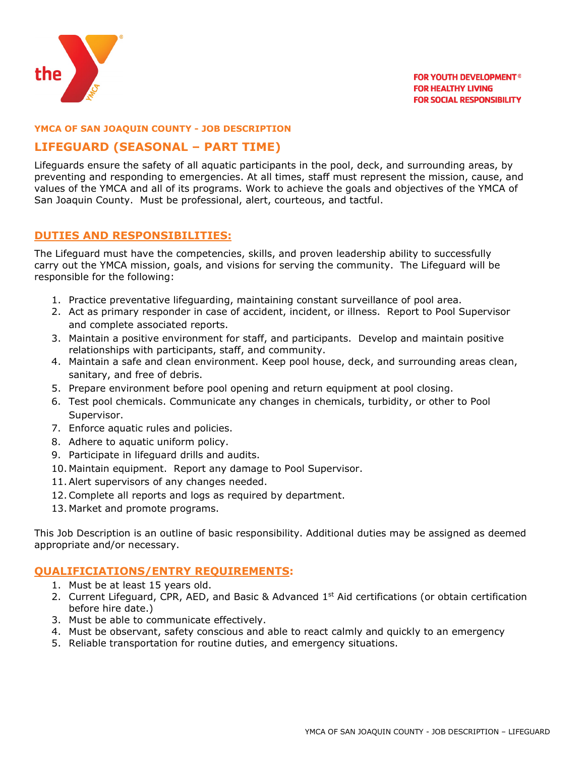

#### **YMCA OF SAN JOAQUIN COUNTY - JOB DESCRIPTION**

# **LIFEGUARD (SEASONAL – PART TIME)**

Lifeguards ensure the safety of all aquatic participants in the pool, deck, and surrounding areas, by preventing and responding to emergencies. At all times, staff must represent the mission, cause, and values of the YMCA and all of its programs. Work to achieve the goals and objectives of the YMCA of San Joaquin County. Must be professional, alert, courteous, and tactful.

### **DUTIES AND RESPONSIBILITIES:**

The Lifeguard must have the competencies, skills, and proven leadership ability to successfully carry out the YMCA mission, goals, and visions for serving the community. The Lifeguard will be responsible for the following:

- 1. Practice preventative lifeguarding, maintaining constant surveillance of pool area.
- 2. Act as primary responder in case of accident, incident, or illness. Report to Pool Supervisor and complete associated reports.
- 3. Maintain a positive environment for staff, and participants. Develop and maintain positive relationships with participants, staff, and community.
- 4. Maintain a safe and clean environment. Keep pool house, deck, and surrounding areas clean, sanitary, and free of debris.
- 5. Prepare environment before pool opening and return equipment at pool closing.
- 6. Test pool chemicals. Communicate any changes in chemicals, turbidity, or other to Pool Supervisor.
- 7. Enforce aquatic rules and policies.
- 8. Adhere to aquatic uniform policy.
- 9. Participate in lifeguard drills and audits.
- 10. Maintain equipment. Report any damage to Pool Supervisor.
- 11.Alert supervisors of any changes needed.
- 12.Complete all reports and logs as required by department.
- 13. Market and promote programs.

This Job Description is an outline of basic responsibility. Additional duties may be assigned as deemed appropriate and/or necessary.

#### **QUALIFICIATIONS/ENTRY REQUIREMENTS:**

- 1. Must be at least 15 years old.
- 2. Current Lifeguard, CPR, AED, and Basic & Advanced 1<sup>st</sup> Aid certifications (or obtain certification before hire date.)
- 3. Must be able to communicate effectively.
- 4. Must be observant, safety conscious and able to react calmly and quickly to an emergency
- 5. Reliable transportation for routine duties, and emergency situations.